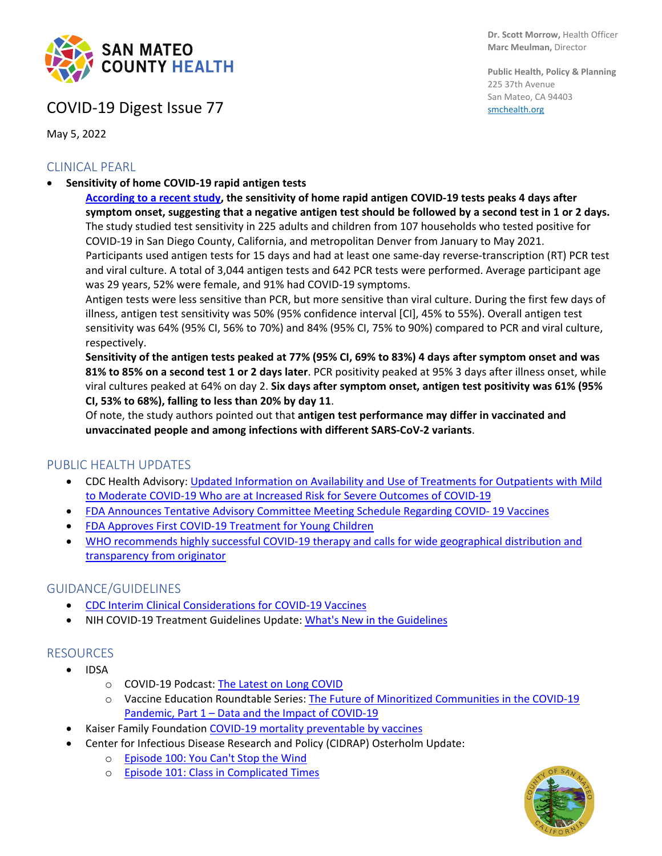

## COVID-19 Digest Issue 77

May 5, 2022

### CLINICAL PEARL

• **Sensitivity of home COVID-19 rapid antigen tests**

**Dr. Scott Morrow,** Health Officer **Marc Meulman,** Director

**Public Health, Policy & Planning** 225 37th Avenue San Mateo, CA 94403 [smchealth.org](https://www.smchealth.org/)

**[According to a recent study,](https://jamanetwork.com/journals/jamainternalmedicine/fullarticle/2791915) the sensitivity of home rapid antigen COVID-19 tests peaks 4 days after symptom onset, suggesting that a negative antigen test should be followed by a second test in 1 or 2 days.** The study studied test sensitivity in 225 adults and children from 107 households who tested positive for COVID-19 in San Diego County, California, and metropolitan Denver from January to May 2021. Participants used antigen tests for 15 days and had at least one same-day reverse-transcription (RT) PCR test and viral culture. A total of 3,044 antigen tests and 642 PCR tests were performed. Average participant age was 29 years, 52% were female, and 91% had COVID-19 symptoms.

Antigen tests were less sensitive than PCR, but more sensitive than viral culture. During the first few days of illness, antigen test sensitivity was 50% (95% confidence interval [CI], 45% to 55%). Overall antigen test sensitivity was 64% (95% CI, 56% to 70%) and 84% (95% CI, 75% to 90%) compared to PCR and viral culture, respectively.

**Sensitivity of the antigen tests peaked at 77% (95% CI, 69% to 83%) 4 days after symptom onset and was 81% to 85% on a second test 1 or 2 days later**. PCR positivity peaked at 95% 3 days after illness onset, while viral cultures peaked at 64% on day 2. **Six days after symptom onset, antigen test positivity was 61% (95% CI, 53% to 68%), falling to less than 20% by day 11**.

Of note, the study authors pointed out that **antigen test performance may differ in vaccinated and unvaccinated people and among infections with different SARS-CoV-2 variants**.

#### PUBLIC HEALTH UPDATES

- CDC Health Advisory: [Updated Information on Availability and Use of Treatments for Outpatients with Mild](https://emergency.cdc.gov/han/2022/han00463.asp)  [to Moderate COVID-19 Who are at Increased Risk for Severe Outcomes of COVID-19](https://emergency.cdc.gov/han/2022/han00463.asp)
- [FDA Announces Tentative Advisory Committee Meeting Schedule Regarding COVID-](https://www.fda.gov/news-events/press-announcements/coronavirus-covid-19-update-fda-announces-tentative-advisory-committee-meeting-schedule-regarding#:%7E:text=On%20June%207,%20FDA%20intends,years%20of%20age%20and%20older) 19 Vaccines
- [FDA Approves First COVID-19 Treatment for Young Children](https://www.fda.gov/news-events/press-announcements/coronavirus-covid-19-update-fda-approves-first-covid-19-treatment-young-children?campaign_id=154&emc=edit_cb_20220425&instance_id=59437&nl=coronavirus-briefing®i_id=130283546&segment_id=90231&te=1&user_id=d8aa95be707fe46c27653a88d04e4dc0)
- [WHO recommends highly successful COVID-19 therapy and calls for wide geographical distribution and](https://www.who.int/news/item/22-04-2022-who-recommends-highly-successful-covid-19-therapy-and-calls-for-wide-geographical-distribution-and-transparency-from-originator)  [transparency from originator](https://www.who.int/news/item/22-04-2022-who-recommends-highly-successful-covid-19-therapy-and-calls-for-wide-geographical-distribution-and-transparency-from-originator)

#### GUIDANCE/GUIDELINES

- [CDC Interim Clinical Considerations for COVID-19 Vaccines](https://www.cdc.gov/vaccines/covid-19/clinical-considerations/covid-19-vaccines-us.html?ACSTrackingID=USCDC_2120-DM80362&ACSTrackingLabel=Updated%20Guidance%3A%20Interim%20Clinical%20Considerations%20for%20Use%20of%20COVID-19%20Vaccines&deliveryName=USCDC_2120-DM80362)
- NIH COVID-19 Treatment Guidelines Update: [What's New in the Guidelines](https://www.covid19treatmentguidelines.nih.gov/about-the-guidelines/whats-new/)

#### RESOURCES

- IDSA
	- o COVID-19 Podcast[: The Latest on Long COVID](https://www.idsociety.org/multimedia/podcasts/the-latest-on-long-covid-april-23-2022/)
	- o Vaccine Education Roundtable Series: [The Future of Minoritized Communities in the COVID-19](https://www.idsociety.org/multimedia/all-videos/vaccine-education-roundtable-series-the-future-of-minoritized-communities-in-the-covid-19-pandemic-part-1--data-and-the-impact-of-covid-19/)  Pandemic, Part 1 – [Data and the Impact of COVID-19](https://www.idsociety.org/multimedia/all-videos/vaccine-education-roundtable-series-the-future-of-minoritized-communities-in-the-covid-19-pandemic-part-1--data-and-the-impact-of-covid-19/)
- Kaiser Family Foundation [COVID-19 mortality preventable by vaccines](https://www.healthsystemtracker.org/brief/covid19-and-other-leading-causes-of-death-in-the-us/#COVID-19%20deaths%20among%20unvaccinated%20adults%20that%20likely%20could%20have%20been%20prevented%20with%20vaccinations,%20June%202021-March%202022)
- Center for Infectious Disease Research and Policy (CIDRAP) Osterholm Update:
	- o [Episode 100: You Can't Stop the Wind](https://www.cidrap.umn.edu/covid-19/podcasts-webinars/episode-100)
	- o [Episode 101: Class in Complicated Times](https://www.cidrap.umn.edu/covid-19/podcasts-webinars/episode-101)

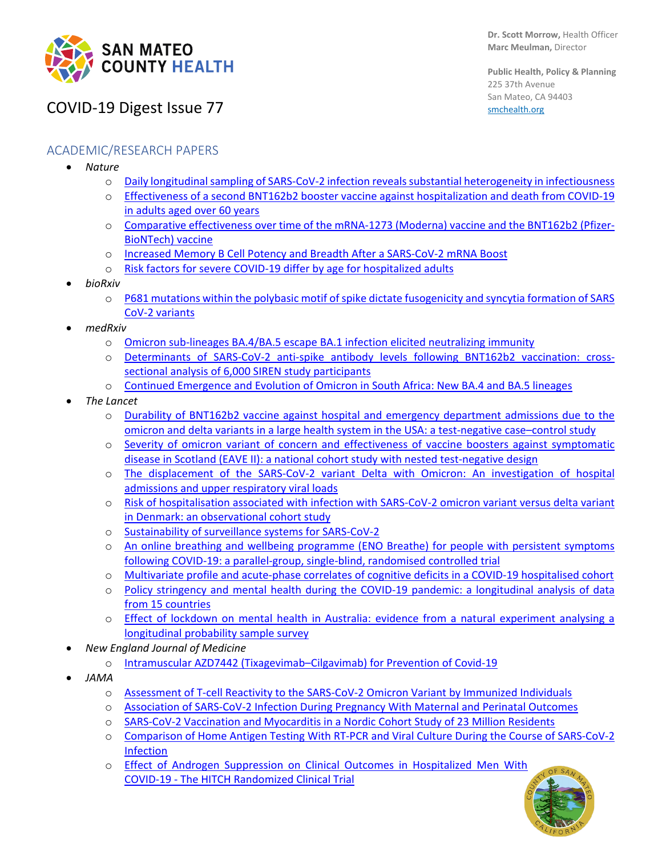

**Public Health, Policy & Planning** 225 37th Avenue San Mateo, CA 94403 [smchealth.org](https://www.smchealth.org/)

# COVID-19 Digest Issue 77

### ACADEMIC/RESEARCH PAPERS

- *Nature*
	- o Daily longitudinal sampling of SARS-CoV-2 infection reveals substantial heterogeneity in [infectiousness](https://www.nature.com/articles/s41564-022-01105-z)
	- o Effectiveness of a [second BNT162b2 booster vaccine against hospitalization and death from COVID-19](https://www.nature.com/articles/s41591-022-01832-0)  [in adults aged over 60 years](https://www.nature.com/articles/s41591-022-01832-0)
	- o [Comparative effectiveness over time of the mRNA-1273 \(Moderna\) vaccine and the BNT162b2 \(Pfizer-](https://www.nature.com/articles/s41467-022-30059-3)[BioNTech\) vaccine](https://www.nature.com/articles/s41467-022-30059-3)
	- o [Increased Memory B Cell Potency and Breadth After a SARS-CoV-2 mRNA Boost](https://www.nature.com/articles/s41586-022-04778-y)
	- o [Risk factors for severe COVID-19 differ by age for hospitalized adults](https://www.nature.com/articles/s41598-022-10344-3)
- *bioRxiv*
	- o [P681 mutations within the polybasic motif of spike dictate fusogenicity and syncytia formation of SARS](https://www.biorxiv.org/content/10.1101/2022.04.26.489630v1.full)  [CoV-2 variants](https://www.biorxiv.org/content/10.1101/2022.04.26.489630v1.full)
- *medRxiv*
	- o [Omicron sub-lineages BA.4/BA.5 escape BA.1 infection elicited neutralizing immunity](https://secureservercdn.net/166.62.108.196/1mx.c5c.myftpupload.com/wp-content/uploads/2022/04/MEDRXIV-2022-274477v1-Sigal.pdf)
	- o [Determinants of SARS-CoV-2 anti-spike antibody levels following BNT162b2 vaccination: cross](https://www.medrxiv.org/content/10.1101/2022.04.21.22274025v1)[sectional analysis of 6,000 SIREN study participants](https://www.medrxiv.org/content/10.1101/2022.04.21.22274025v1)
	- o [Continued Emergence and Evolution of Omicron in South Africa: New BA.4 and BA.5 lineages](https://krisp.org.za/manuscripts/MEDRXIV-2022-274406v1-deOliveira.pdf)
- *The Lancet*
	- o [Durability of BNT162b2 vaccine against hospital and emergency department admissions due to the](https://www.thelancet.com/journals/lanres/article/PIIS2213-2600(22)00101-1/fulltext#%20)  [omicron and delta variants in a large health system in the USA: a test-negative case–control study](https://www.thelancet.com/journals/lanres/article/PIIS2213-2600(22)00101-1/fulltext#%20)
	- o [Severity of omicron variant of concern and effectiveness of vaccine boosters against symptomatic](https://www.thelancet.com/journals/laninf/article/PIIS1473-3099(22)00141-4/fulltext)  [disease in Scotland \(EAVE II\): a national cohort study with nested test-negative design](https://www.thelancet.com/journals/laninf/article/PIIS1473-3099(22)00141-4/fulltext)
	- o [The displacement of the SARS-CoV-2 variant Delta with Omicron: An investigation of hospital](https://www.sciencedirect.com/science/article/pii/S235239642200192X)  [admissions and upper respiratory viral loads](https://www.sciencedirect.com/science/article/pii/S235239642200192X)
	- o [Risk of hospitalisation associated with infection with SARS-CoV-2 omicron variant versus delta variant](https://www.thelancet.com/journals/laninf/article/PIIS1473-3099(22)00154-2/fulltext#%20)  [in Denmark: an observational cohort study](https://www.thelancet.com/journals/laninf/article/PIIS1473-3099(22)00154-2/fulltext#%20)
	- o [Sustainability of surveillance systems for SARS-CoV-2](https://www.thelancet.com/journals/laninf/article/PIIS1473-3099(22)00174-8/fulltext)
	- o [An online breathing and wellbeing programme \(ENO Breathe\) for people with persistent symptoms](https://www.thelancet.com/journals/lanres/article/PIIS2213-2600(22)00125-4/fulltext#%20)  [following COVID-19: a parallel-group, single-blind, randomised controlled trial](https://www.thelancet.com/journals/lanres/article/PIIS2213-2600(22)00125-4/fulltext#%20)
	- o [Multivariate profile and acute-phase correlates of cognitive deficits in a COVID-19 hospitalised cohort](https://www.thelancet.com/journals/eclinm/article/PIIS2589-5370(22)00147-X/fulltext)
	- Policy stringency and mental health during the COVID-19 pandemic: a longitudinal analysis of data [from 15 countries](https://www.thelancet.com/journals/lanpub/article/PIIS2468-2667(22)00060-3/fulltext)
	- o [Effect of lockdown on mental health in Australia: evidence from a natural experiment analysing a](https://www.thelancet.com/journals/lanpub/article/PIIS2468-2667(22)00082-2/fulltext#%20)  [longitudinal probability sample survey](https://www.thelancet.com/journals/lanpub/article/PIIS2468-2667(22)00082-2/fulltext#%20)
- *New England Journal of Medicine*
	- o [Intramuscular AZD7442 \(Tixagevimab–Cilgavimab\) for Prevention of Covid-19](https://www.nejm.org/doi/full/10.1056/NEJMoa2116620)
- *JAMA*
	- o [Assessment of T-cell Reactivity to the SARS-CoV-2 Omicron Variant by Immunized Individuals](https://jamanetwork.com/journals/jamanetworkopen/fullarticle/2791449)
	- o [Association of SARS-CoV-2 Infection During Pregnancy With Maternal and Perinatal Outcomes](https://jamanetwork.com/journals/jama/fullarticle/2792031)
	- o [SARS-CoV-2 Vaccination and Myocarditis in a Nordic Cohort Study of 23 Million Residents](https://jamanetwork.com/journals/jamacardiology/fullarticle/2791253)
	- o [Comparison of Home Antigen Testing With RT-PCR and Viral Culture During the Course of SARS-CoV-2](https://jamanetwork.com/journals/jamainternalmedicine/fullarticle/2791915)  [Infection](https://jamanetwork.com/journals/jamainternalmedicine/fullarticle/2791915)
	- o [Effect of Androgen Suppression on Clinical Outcomes in Hospitalized Men With](https://jamanetwork.com/journals/jamanetworkopen/fullarticle/2791293)  COVID-19 - [The HITCH Randomized Clinical Trial](https://jamanetwork.com/journals/jamanetworkopen/fullarticle/2791293)

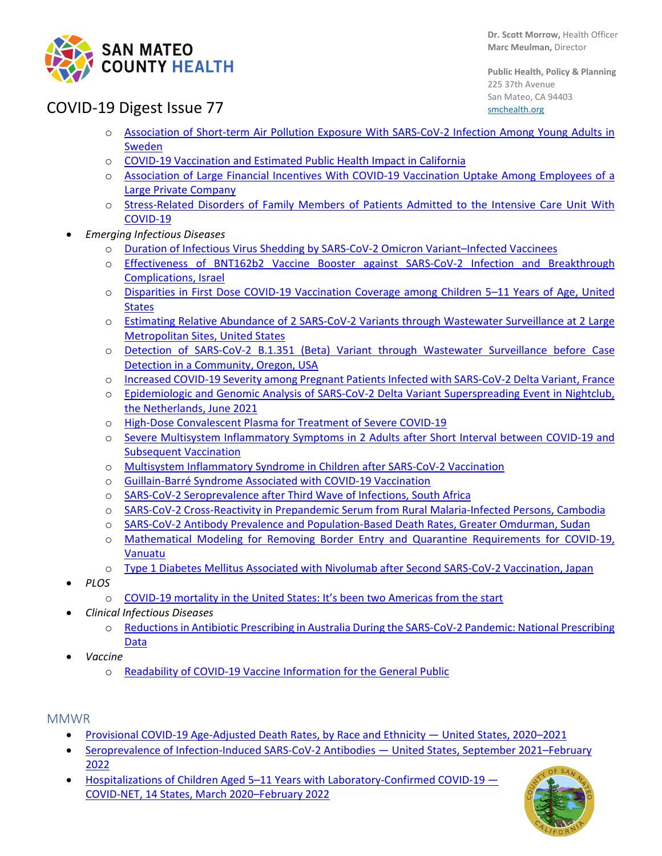

**Public Health, Policy & Planning** 225 37th Avenue San Mateo, CA 94403 [smchealth.org](https://www.smchealth.org/)

# COVID-19 Digest Issue 77

- o [Association of Short-term Air Pollution Exposure With SARS-CoV-2 Infection Among Young Adults in](https://jamanetwork.com/journals/jamanetworkopen/fullarticle/2791305)  **[Sweden](https://jamanetwork.com/journals/jamanetworkopen/fullarticle/2791305)**
- o [COVID-19 Vaccination and Estimated Public Health Impact in California](https://jamanetwork.com/journals/jamanetworkopen/fullarticle/2791453)
- o [Association of Large Financial Incentives With COVID-19 Vaccination Uptake Among Employees of a](https://jamanetwork.com/journals/jamanetworkopen/fullarticle/2791735)  [Large Private Company](https://jamanetwork.com/journals/jamanetworkopen/fullarticle/2791735)
- o [Stress-Related Disorders of Family Members of Patients Admitted to](https://jamanetwork.com/journals/jamainternalmedicine/fullarticle/2791664) the Intensive Care Unit With [COVID-19](https://jamanetwork.com/journals/jamainternalmedicine/fullarticle/2791664)
- *Emerging Infectious Diseases*
	- o [Duration of Infectious Virus Shedding by SARS-CoV-2 Omicron Variant–Infected Vaccinees](https://protect-us.mimecast.com/s/obtCClYk2QTyoZ6vcXA_cJ)
	- o [Effectiveness of BNT162b2 Vaccine Booster against SARS-CoV-2 Infection and Breakthrough](https://protect-us.mimecast.com/s/jgIWCn5mgQFzGorYfQK3wy)  [Complications, Israel](https://protect-us.mimecast.com/s/jgIWCn5mgQFzGorYfQK3wy)
	- o [Disparities in First Dose COVID-19 Vaccination Coverage among Children 5–11 Years of Age, United](https://protect-us.mimecast.com/s/azJiCZ6GzOcEMNXps64mrS)  **[States](https://protect-us.mimecast.com/s/azJiCZ6GzOcEMNXps64mrS)**
	- o [Estimating Relative Abundance of 2 SARS-CoV-2 Variants through Wastewater Surveillance at 2 Large](https://protect-us.mimecast.com/s/ZhocC73yp8cvmknJsMjcqf)  [Metropolitan Sites, United States](https://protect-us.mimecast.com/s/ZhocC73yp8cvmknJsMjcqf)
	- o [Detection of SARS-CoV-2 B.1.351 \(Beta\) Variant through Wastewater Surveillance before Case](https://wwwnc.cdc.gov/eid/article/28/6/21-1821_article?ACSTrackingID=USCDC_333-DM80452&ACSTrackingLabel=Latest%20Expedited%20Articles%20-%20Emerging%20Infectious%20Diseases%20Journal%20-%20April%2022%2C%202022&deliveryName=USCDC_333-DM80452)  [Detection in a Community, Oregon, USA](https://wwwnc.cdc.gov/eid/article/28/6/21-1821_article?ACSTrackingID=USCDC_333-DM80452&ACSTrackingLabel=Latest%20Expedited%20Articles%20-%20Emerging%20Infectious%20Diseases%20Journal%20-%20April%2022%2C%202022&deliveryName=USCDC_333-DM80452)
	- o [Increased COVID-19 Severity among Pregnant Patients Infected with SARS-CoV-2 Delta](https://protect-us.mimecast.com/s/c3qpCQWK6Js86WJytngWJp) Variant, France
	- o [Epidemiologic and Genomic Analysis of SARS-CoV-2 Delta Variant Superspreading Event in Nightclub,](https://protect-us.mimecast.com/s/bM0QCXDXrxF1nYkzuovIbc)  [the Netherlands, June 2021](https://protect-us.mimecast.com/s/bM0QCXDXrxF1nYkzuovIbc)
	- o [High-Dose Convalescent Plasma for Treatment of Severe COVID-19](https://protect-us.mimecast.com/s/LPMbC2kq74Fvkw09sG3Qr5)
	- o [Severe Multisystem Inflammatory Symptoms in 2 Adults after Short Interval between COVID-19 and](https://protect-us.mimecast.com/s/1uTfC5ywRnFo0GwDsqJ3wI)  [Subsequent Vaccination](https://protect-us.mimecast.com/s/1uTfC5ywRnFo0GwDsqJ3wI)
	- o [Multisystem Inflammatory Syndrome in Children after SARS-CoV-2 Vaccination](https://protect-us.mimecast.com/s/NKGCC68xBocEoKZBsRLJbD)
	- o [Guillain-Barré Syndrome Associated with COVID-19 Vaccination](https://protect-us.mimecast.com/s/PNx-CkRjrQI7nQopsLHALn)
	- o [SARS-CoV-2 Seroprevalence after Third Wave of Infections, South Africa](https://protect-us.mimecast.com/s/tnbAC0Ro0qIK23YLI6CHku)
	- o [SARS-CoV-2 Cross-Reactivity in Prepandemic Serum from Rural Malaria-Infected Persons, Cambodia](https://protect-us.mimecast.com/s/KOjMCjRg0QI2jqZvC6MvnT)
	- o [SARS-CoV-2 Antibody Prevalence and Population-Based Death Rates, Greater Omdurman, Sudan](https://protect-us.mimecast.com/s/2yZYCqxplRIDO5JoFOTHVD)
	- o [Mathematical Modeling for Removing Border Entry and Quarantine Requirements for COVID-19,](https://protect-us.mimecast.com/s/WHESCOYXPlTJAKEycYRDbH)  [Vanuatu](https://protect-us.mimecast.com/s/WHESCOYXPlTJAKEycYRDbH)
	- o [Type 1 Diabetes Mellitus Associated with Nivolumab after Second SARS-CoV-2 Vaccination, Japan](https://wwwnc.cdc.gov/eid/article/28/7/22-0127_article?ACSTrackingID=USCDC_333-DM80598&ACSTrackingLabel=Latest%20Expedited%20Articles%20-%20Emerging%20Infectious%20Diseases%20Journal%20-%20April%2025%2C%202022&deliveryName=USCDC_333-DM80598)
- *PLOS*
	- o [COVID-19 mortality in the United States: It's been two Americas from the start](https://journals.plos.org/plosone/article?id=10.1371/journal.pone.0265053)
- *Clinical Infectious Diseases*
	- o [Reductions in Antibiotic Prescribing in Australia During the SARS-CoV-2 Pandemic: National Prescribing](https://academic.oup.com/cid/advance-article-abstract/doi/10.1093/cid/ciac277/6566296?login=false)  [Data](https://academic.oup.com/cid/advance-article-abstract/doi/10.1093/cid/ciac277/6566296?login=false)
- *Vaccine*
	- o [Readability of COVID-19 Vaccine Information for the General Public](https://www.sciencedirect.com/science/article/pii/S0264410X22005461)
- MMWR
	- [Provisional COVID-19 Age-Adjusted Death Rates, by Race and Ethnicity —](https://protect-us.mimecast.com/s/apLSCrkqmZFpr1NliLVnFB) United States, 2020–2021
	- [Seroprevalence of Infection-Induced SARS-CoV-2 Antibodies —](https://protect-us.mimecast.com/s/DOJ3Cv2x8qIGE2BziEy5-t) United States, September 2021–February [2022](https://protect-us.mimecast.com/s/DOJ3Cv2x8qIGE2BziEy5-t)
	- Hospitalizations of Children Aged 5-11 Years with Laboratory-Confirmed COVID-19 -COVID-NET, 14 [States, March 2020–February 2022](https://protect-us.mimecast.com/s/pBjiCDkZQNFPEAWwuB01sZ)

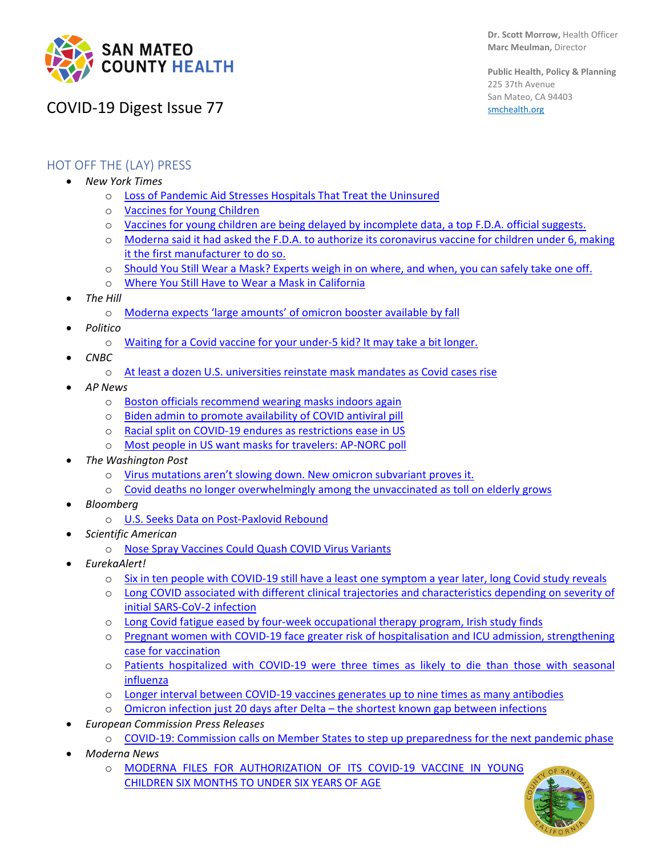

# COVID-19 Digest Issue 77

**Public Health, Policy & Planning** 225 37th Avenue San Mateo, CA 94403 [smchealth.org](https://www.smchealth.org/)

## HOT OFF THE (LAY) PRESS

- *New York Times*
	- o [Loss of Pandemic Aid Stresses Hospitals That Treat the Uninsured](https://www.nytimes.com/2022/05/01/us/politics/covid-aid-hospitals-uninsured.html)
	- o [Vaccines for Young Children](https://www.nytimes.com/2022/04/29/briefing/vaccines-kids-moderna-pfizer.html)
	- o [Vaccines for young children are being delayed by incomplete data, a top F.D.A. official suggests.](https://www.nytimes.com/2022/04/26/us/politics/vaccine-children-fda-pfizer-moderna.html?campaign_id=154&emc=edit_cb_20220427&instance_id=59785&nl=coronavirus-briefing®i_id=130283546&segment_id=90590&smid=url-copy&te=1&user_id=d8aa95be707fe46c27653a88d04e4dc0)
	- o [Moderna said it had asked the F.D.A. to authorize its](https://protect-us.mimecast.com/s/YlgTCR6KPYcJrL1GIPxnwk) coronavirus vaccine for children under 6, making [it the first manufacturer to do so.](https://protect-us.mimecast.com/s/YlgTCR6KPYcJrL1GIPxnwk)
	- o [Should You Still Wear a Mask? Experts weigh in on where, and when, you can safely take one off.](https://www.nytimes.com/article/mask-mandates-guidelines.html?unlocked_article_code=AAAAAAAAAAAAAAAACEIPuomT1JKd6J17Vw1cRCfTTMQmqxCdw_PIxfs1nGP_JyyYDjNL1OdQBoGG907RaLEmaMYy0zmfRdlMK_kvWPl2hKd5DnBadjOJ8NGCiYhXZGI8s56yVWc7mM2dBugxqmO2KzfkJe46mefl51ePOjHrRKOLhHJ2IA5no5VjcEq4miBdntezGeB-2tF82P4mF8o6EW9GPH_WyqGuXxZuO9yGbQXe7x02XYxaXTLSm92b49EQYVkYSAKGHD4kvzFKuJ4LM8gXPa3_MxcnZMH75L0WAWZtJ4uibIYjSAg7Rh2-6uOjGcr2zaXPxA&smid=em-share)
	- o [Where You Still Have to Wear a Mask in California](https://www.nytimes.com/2022/04/27/us/mask-mandates-california.html)
- *The Hill*
	- o [Moderna expects 'large amounts' of omicron booster available by fall](https://thehill.com/policy/healthcare/3473235-moderna-expects-large-amounts-of-omicron-booster-available-by-fall/)
- *Politico*
	- o [Waiting for a Covid vaccine for your under-5 kid? It may take a bit longer.](https://www.politico.com/news/2022/04/21/biden-kids-vaccine-covid-00026798?campaign_id=9&emc=edit_nn_20220429&instance_id=59910&nl=the-morning®i_id=130283546&segment_id=90730&te=1&user_id=d8aa95be707fe46c27653a88d04e4dc0)
- *CNBC*
	- o [At least a dozen U.S. universities reinstate mask mandates as Covid cases rise](https://www.cnbc.com/2022/04/26/covid-cases-us-universities-reinstate-mask-mandates.html?campaign_id=154&emc=edit_cb_20220427&instance_id=59785&nl=coronavirus-briefing®i_id=130283546&segment_id=90590&te=1&user_id=d8aa95be707fe46c27653a88d04e4dc0)
- *AP News*
	- o [Boston officials recommend wearing masks indoors again](https://apnews.com/article/covid-health-boston-public-4cf97f650ec817b14dac90ec26f2f56c)
	- o [Biden admin to promote availability of COVID antiviral pill](https://apnews.com/article/biden-covid-business-health-medication-fa6cd0dcc9dec4d1076b14a521e9a6e5)
	- o [Racial split on COVID-19 endures as restrictions ease in US](https://apnews.com/article/covid-health-pandemics-public-race-and-ethnicity-6d512d62a6aadf9f1777bc4a4e0f29a9)
	- o [Most people in US want masks for travelers: AP-NORC poll](https://apnews.com/article/covid-business-health-travel-lifestyle-df8d9d7e46db0b9a85e29ac762a41a51)
- *The Washington Post* 
	- o [Virus mutations aren't slowing down. New omicron subvariant proves it.](https://www.washingtonpost.com/health/2022/05/01/coronavirus-more-mutations/)
	- o [Covid deaths no longer overwhelmingly among the unvaccinated as toll on elderly grows](https://www.washingtonpost.com/health/2022/04/29/covid-deaths-unvaccinated-boosters/)
- *Bloomberg*
	- o U.S. Seeks Data [on Post-Paxlovid Rebound](https://www.bloomberg.com/news/newsletters/2022-04-30/coronavirus-daily-urgent-data-sought-on-pfizer-s-paxlovid-for-covid)
- *Scientific American*
	- o [Nose Spray Vaccines Could Quash COVID Virus Variants](https://www.scientificamerican.com/article/nose-spray-vaccines-could-quash-covid-virus-variants/)
- *EurekaAlert!*
	- o [Six in ten people with COVID-19 still have a least one symptom a year later, long Covid study reveals](https://www.eurekalert.org/news-releases/950713)
	- o [Long COVID associated with different clinical trajectories and characteristics depending on severity of](https://www.eurekalert.org/news-releases/950651)  [initial SARS-CoV-2 infection](https://www.eurekalert.org/news-releases/950651)
	- o [Long Covid fatigue eased by four-week occupational therapy program, Irish study finds](https://www.eurekalert.org/news-releases/950650)
	- o [Pregnant women with COVID-19 face greater risk of hospitalisation and ICU admission, strengthening](https://www.eurekalert.org/news-releases/950558)  [case for vaccination](https://www.eurekalert.org/news-releases/950558)
	- o [Patients hospitalized with COVID-19 were three times as likely to die than those with seasonal](https://www.eurekalert.org/news-releases/950223)  [influenza](https://www.eurekalert.org/news-releases/950223)
	- o [Longer interval between COVID-19 vaccines generates up to nine times as many antibodies](https://www.eurekalert.org/news-releases/950221)
	- o [Omicron infection just 20 days after Delta –](https://www.eurekalert.org/news-releases/950144) the shortest known gap between infections
- *European Commission Press Releases*
	- o [COVID-19: Commission calls on Member States to step up preparedness for the next pandemic phase](https://ec.europa.eu/commission/presscorner/detail/en/ip_22_2646)
- *Moderna News*
	- o [MODERNA FILES FOR AUTHORIZATION OF ITS COVID-19 VACCINE IN YOUNG](https://investors.modernatx.com/news/news-details/2022/Moderna-Files-for-Authorization-of-Its-COVID-19-Vaccine-in-Young-Children-Six-Months-to-Under-Six-Years-of-Age/default.aspx)  [CHILDREN SIX MONTHS TO UNDER SIX YEARS OF AGE](https://investors.modernatx.com/news/news-details/2022/Moderna-Files-for-Authorization-of-Its-COVID-19-Vaccine-in-Young-Children-Six-Months-to-Under-Six-Years-of-Age/default.aspx)